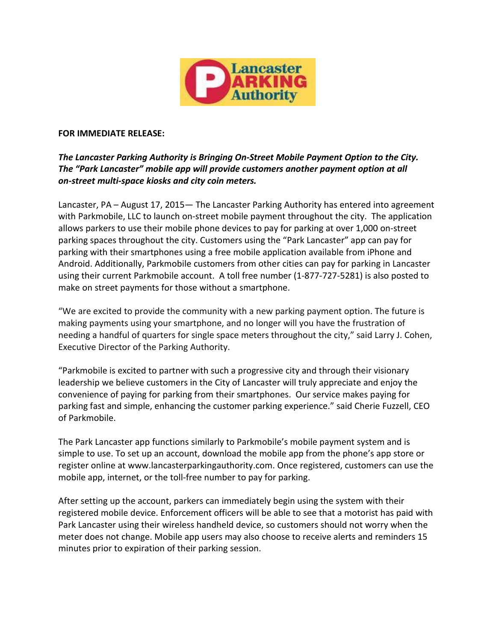

## **FOR IMMEDIATE RELEASE:**

## *The Lancaster Parking Authority is Bringing On-Street Mobile Payment Option to the City. The "Park Lancaster" mobile app will provide customers another payment option at all on-street multi-space kiosks and city coin meters.*

Lancaster, PA – August 17, 2015— The Lancaster Parking Authority has entered into agreement with Parkmobile, LLC to launch on-street mobile payment throughout the city. The application allows parkers to use their mobile phone devices to pay for parking at over 1,000 on-street parking spaces throughout the city. Customers using the "Park Lancaster" app can pay for parking with their smartphones using a free mobile application available from iPhone and Android. Additionally, Parkmobile customers from other cities can pay for parking in Lancaster using their current Parkmobile account. A toll free number (1-877-727-5281) is also posted to make on street payments for those without a smartphone.

"We are excited to provide the community with a new parking payment option. The future is making payments using your smartphone, and no longer will you have the frustration of needing a handful of quarters for single space meters throughout the city," said Larry J. Cohen, Executive Director of the Parking Authority.

"Parkmobile is excited to partner with such a progressive city and through their visionary leadership we believe customers in the City of Lancaster will truly appreciate and enjoy the convenience of paying for parking from their smartphones. Our service makes paying for parking fast and simple, enhancing the customer parking experience." said Cherie Fuzzell, CEO of Parkmobile.

The Park Lancaster app functions similarly to Parkmobile's mobile payment system and is simple to use. To set up an account, download the mobile app from the phone's app store or register online at [www.lancasterparkingauthority.c](http://www.lancasterparkingauthority./)om. Once registered, customers can use the mobile app, internet, or the toll-free number to pay for parking.

After setting up the account, parkers can immediately begin using the system with their registered mobile device. Enforcement officers will be able to see that a motorist has paid with Park Lancaster using their wireless handheld device, so customers should not worry when the meter does not change. Mobile app users may also choose to receive alerts and reminders 15 minutes prior to expiration of their parking session.